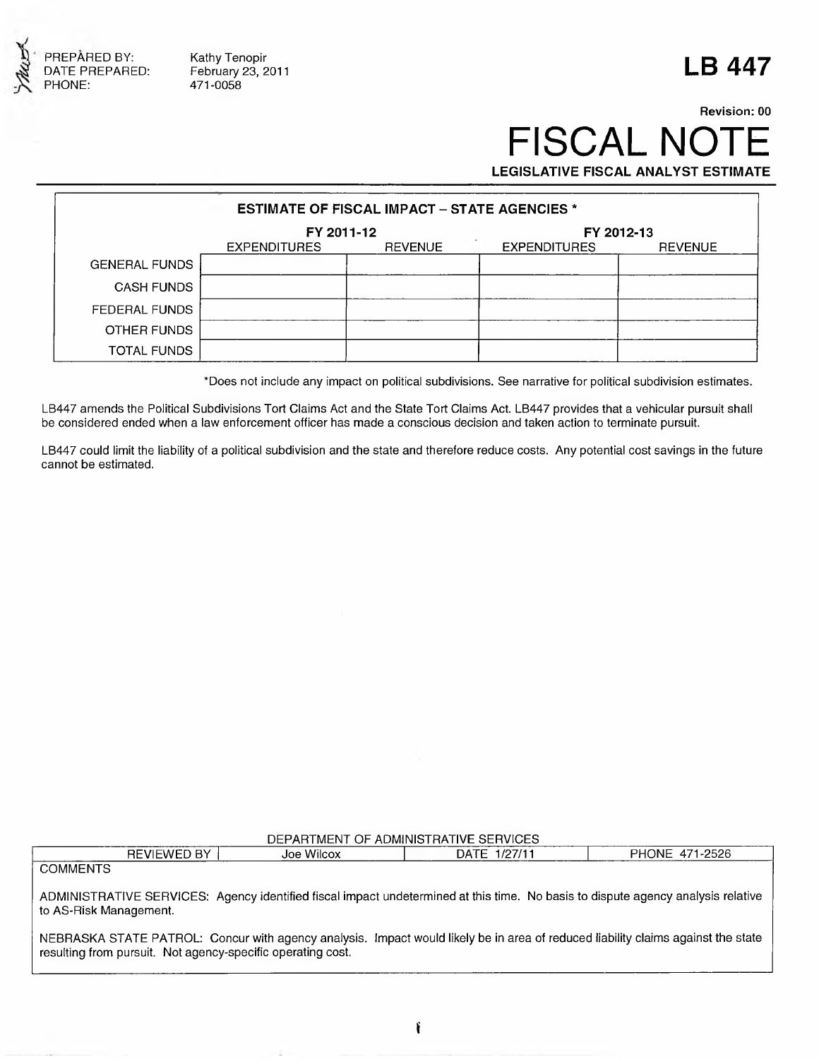

Kathy Tenopir February 23, 2011 471 -0058

# **LB 447**

## **Revision: 00** FISCAL NOTE **LEGISLATIVE FISCAL ANALYST ESTIMATE**

| <b>ESTIMATE OF FISCAL IMPACT - STATE AGENCIES *</b> |                     |                |                     |                |
|-----------------------------------------------------|---------------------|----------------|---------------------|----------------|
|                                                     | FY 2011-12          |                | FY 2012-13          |                |
|                                                     | <b>EXPENDITURES</b> | <b>REVENUE</b> | <b>EXPENDITURES</b> | <b>REVENUE</b> |
| <b>GENERAL FUNDS</b>                                |                     |                |                     |                |
| <b>CASH FUNDS</b>                                   |                     |                |                     |                |
| FEDERAL FUNDS                                       |                     |                |                     |                |
| OTHER FUNDS                                         |                     |                |                     |                |
| <b>TOTAL FUNDS</b>                                  |                     |                |                     |                |

\*Does not include any impact on political subdivisions. See narrative for political subdivision estimates.

LB447 amends the Political Subdivisions Tort Claims Act and the State Tort Claims Act. LB447 provides that a vehicular pursuit shall be considered ended when a law enforcement officer has made a conscious decision and taken action to terminate pursuit.

LB447 could limit the liability of a political subdivision and the state and therefore reduce costs. Any potential cost savings in the future cannot be estimated.

| DEPARTMENT OF ADMINISTRATIVE SERVICES                                                                                                                                                           |            |              |                |  |  |
|-------------------------------------------------------------------------------------------------------------------------------------------------------------------------------------------------|------------|--------------|----------------|--|--|
| REVIEWED BY                                                                                                                                                                                     | Joe Wilcox | DATE 1/27/11 | PHONE 471-2526 |  |  |
| <b>COMMENTS</b>                                                                                                                                                                                 |            |              |                |  |  |
| ADMINISTRATIVE SERVICES: Agency identified fiscal impact undetermined at this time. No basis to dispute agency analysis relative<br>to AS-Risk Management.                                      |            |              |                |  |  |
| NEBRASKA STATE PATROL: Concur with agency analysis. Impact would likely be in area of reduced liability claims against the state<br>resulting from pursuit. Not agency-specific operating cost. |            |              |                |  |  |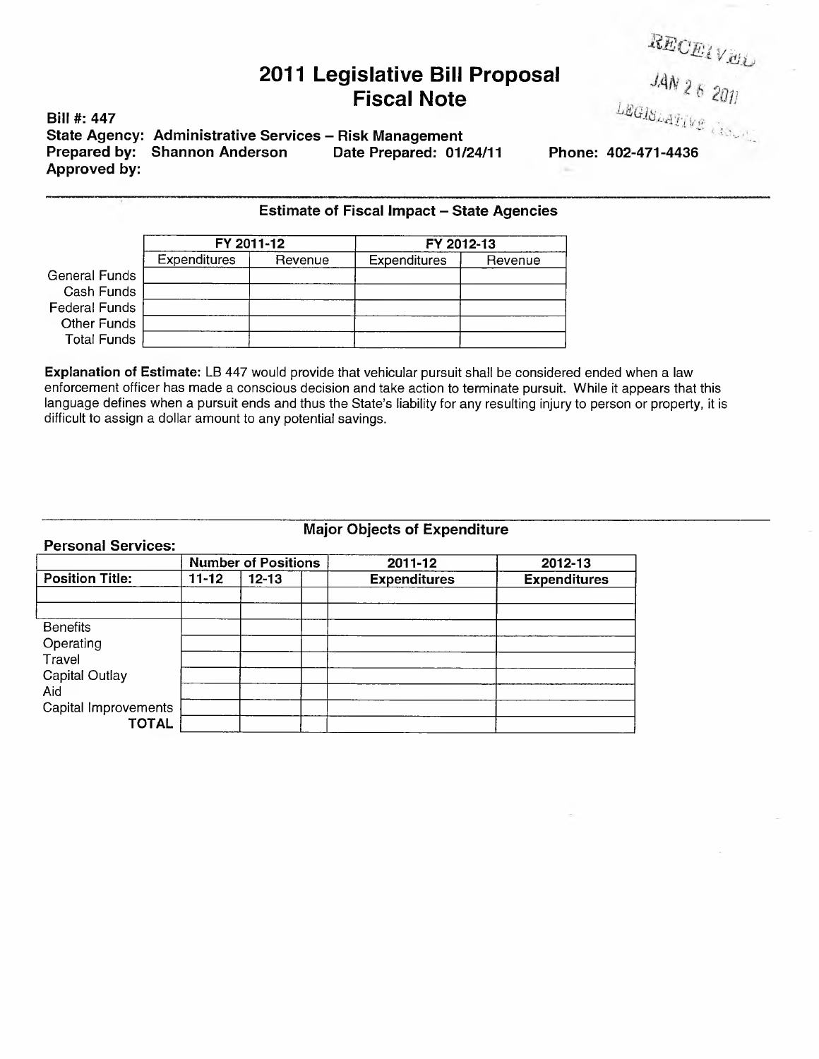### **2011 Legislative Bill Proposal Fiscal Note**

**Bill #: 447** State Agency: Administrative Services - Risk Management<br>Prepared by: Shannon Anderson Date Prepared: 01/24/11 **Prepared by: Shannon Anderson Date Prepared: 01/24/11 Phone: 402-471-4436 Approved by:**

*RECEIVEL*<br>**JAN 26 2011** 

|                      | <b>Estimate of Fiscal Impact - State Agencies</b> |         |                     |         |  |
|----------------------|---------------------------------------------------|---------|---------------------|---------|--|
|                      | FY 2011-12                                        |         | FY 2012-13          |         |  |
|                      | <b>Expenditures</b>                               | Revenue | <b>Expenditures</b> | Revenue |  |
| General Funds        |                                                   |         |                     |         |  |
| Cash Funds           |                                                   |         |                     |         |  |
| <b>Federal Funds</b> |                                                   |         |                     |         |  |
| Other Funds          |                                                   |         |                     |         |  |
| <b>Total Funds</b>   |                                                   |         |                     |         |  |

**Explanation of Estimate:** LB 447 would provide that vehicular pursuit shall be considered ended when a law enforcement officer has made a conscious decision and take action to terminate pursuit. While it appears that this language defines when a pursuit ends and thus the State's liability for any resulting injury to person or property, it is difficult to assign a dollar amount to any potential savings.

### **Major Objects of Expenditure**

| <b>Personal Services:</b> |                            |           |                     |                     |
|---------------------------|----------------------------|-----------|---------------------|---------------------|
|                           | <b>Number of Positions</b> |           | 2011-12             | 2012-13             |
| <b>Position Title:</b>    | $11 - 12$                  | $12 - 13$ | <b>Expenditures</b> | <b>Expenditures</b> |
|                           |                            |           |                     |                     |
|                           |                            |           |                     |                     |
| <b>Benefits</b>           |                            |           |                     |                     |
| Operating                 |                            |           |                     |                     |
| Travel                    |                            |           |                     |                     |
| Capital Outlay            |                            |           |                     |                     |
| Aid                       |                            |           |                     |                     |
| Capital Improvements      |                            |           |                     |                     |
| <b>TOTAL</b>              |                            |           |                     |                     |